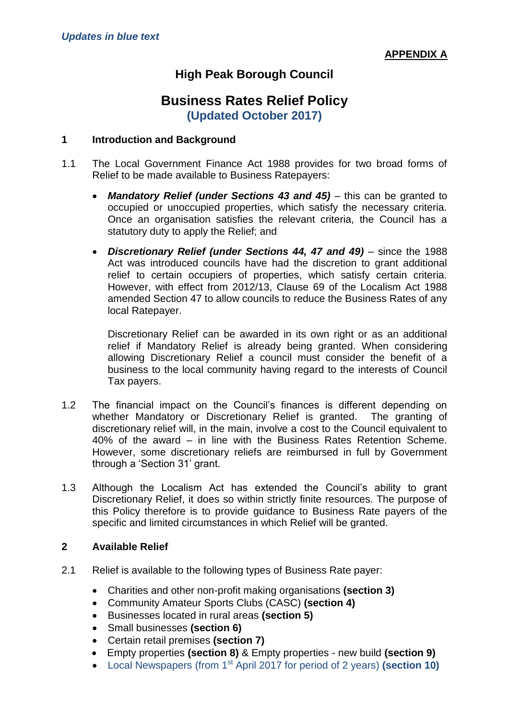# **High Peak Borough Council**

# **Business Rates Relief Policy (Updated October 2017)**

#### **1 Introduction and Background**

- 1.1 The Local Government Finance Act 1988 provides for two broad forms of Relief to be made available to Business Ratepayers:
	- Mandatory Relief (under Sections 43 and 45) this can be granted to occupied or unoccupied properties, which satisfy the necessary criteria. Once an organisation satisfies the relevant criteria, the Council has a statutory duty to apply the Relief; and
	- *Discretionary Relief (under Sections 44, 47 and 49)* since the 1988 Act was introduced councils have had the discretion to grant additional relief to certain occupiers of properties, which satisfy certain criteria. However, with effect from 2012/13, Clause 69 of the Localism Act 1988 amended Section 47 to allow councils to reduce the Business Rates of any local Ratepayer.

Discretionary Relief can be awarded in its own right or as an additional relief if Mandatory Relief is already being granted. When considering allowing Discretionary Relief a council must consider the benefit of a business to the local community having regard to the interests of Council Tax payers.

- 1.2 The financial impact on the Council's finances is different depending on whether Mandatory or Discretionary Relief is granted. The granting of discretionary relief will, in the main, involve a cost to the Council equivalent to 40% of the award – in line with the Business Rates Retention Scheme. However, some discretionary reliefs are reimbursed in full by Government through a 'Section 31' grant.
- 1.3 Although the Localism Act has extended the Council's ability to grant Discretionary Relief, it does so within strictly finite resources. The purpose of this Policy therefore is to provide guidance to Business Rate payers of the specific and limited circumstances in which Relief will be granted.

#### **2 Available Relief**

- 2.1 Relief is available to the following types of Business Rate payer:
	- Charities and other non-profit making organisations **(section 3)**
	- Community Amateur Sports Clubs (CASC) **(section 4)**
	- Businesses located in rural areas **(section 5)**
	- Small businesses **(section 6)**
	- Certain retail premises **(section 7)**
	- Empty properties **(section 8)** & Empty properties new build **(section 9)**
	- Local Newspapers (from 1st April 2017 for period of 2 years) **(section 10)**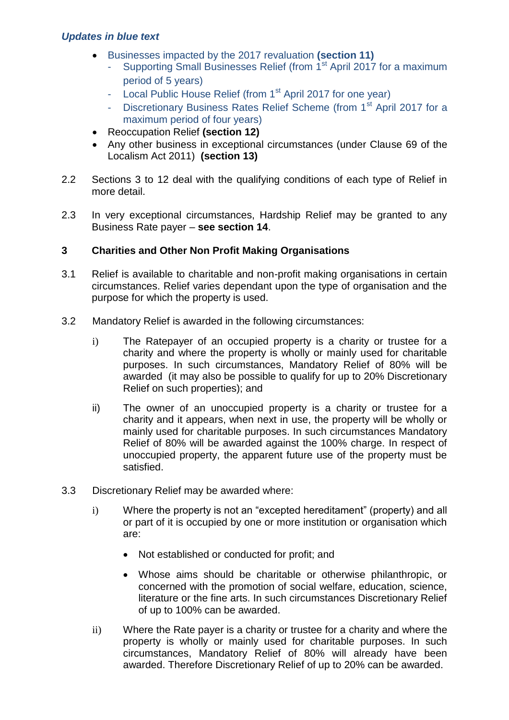- Businesses impacted by the 2017 revaluation **(section 11)**
	- Supporting Small Businesses Relief (from 1<sup>st</sup> April 2017 for a maximum period of 5 years)
	- Local Public House Relief (from 1<sup>st</sup> April 2017 for one year)
	- Discretionary Business Rates Relief Scheme (from 1<sup>st</sup> April 2017 for a maximum period of four years)
- Reoccupation Relief **(section 12)**
- Any other business in exceptional circumstances (under Clause 69 of the Localism Act 2011) **(section 13)**
- 2.2 Sections 3 to 12 deal with the qualifying conditions of each type of Relief in more detail.
- 2.3 In very exceptional circumstances, Hardship Relief may be granted to any Business Rate payer – **see section 14**.

# **3 Charities and Other Non Profit Making Organisations**

- 3.1 Relief is available to charitable and non-profit making organisations in certain circumstances. Relief varies dependant upon the type of organisation and the purpose for which the property is used.
- 3.2 Mandatory Relief is awarded in the following circumstances:
	- i) The Ratepayer of an occupied property is a charity or trustee for a charity and where the property is wholly or mainly used for charitable purposes. In such circumstances, Mandatory Relief of 80% will be awarded (it may also be possible to qualify for up to 20% Discretionary Relief on such properties); and
	- ii) The owner of an unoccupied property is a charity or trustee for a charity and it appears, when next in use, the property will be wholly or mainly used for charitable purposes. In such circumstances Mandatory Relief of 80% will be awarded against the 100% charge. In respect of unoccupied property, the apparent future use of the property must be satisfied.
- 3.3 Discretionary Relief may be awarded where:
	- i) Where the property is not an "excepted hereditament" (property) and all or part of it is occupied by one or more institution or organisation which are:
		- Not established or conducted for profit; and
		- Whose aims should be charitable or otherwise philanthropic, or concerned with the promotion of social welfare, education, science, literature or the fine arts. In such circumstances Discretionary Relief of up to 100% can be awarded.
	- ii) Where the Rate payer is a charity or trustee for a charity and where the property is wholly or mainly used for charitable purposes. In such circumstances, Mandatory Relief of 80% will already have been awarded. Therefore Discretionary Relief of up to 20% can be awarded.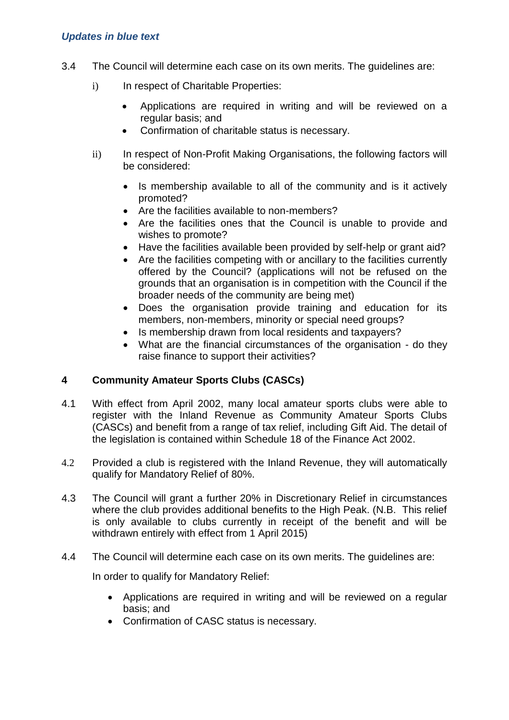- 3.4 The Council will determine each case on its own merits. The guidelines are:
	- i) In respect of Charitable Properties:
		- Applications are required in writing and will be reviewed on a regular basis; and
		- Confirmation of charitable status is necessary.
	- ii) In respect of Non-Profit Making Organisations, the following factors will be considered:
		- Is membership available to all of the community and is it actively promoted?
		- Are the facilities available to non-members?
		- Are the facilities ones that the Council is unable to provide and wishes to promote?
		- Have the facilities available been provided by self-help or grant aid?
		- Are the facilities competing with or ancillary to the facilities currently offered by the Council? (applications will not be refused on the grounds that an organisation is in competition with the Council if the broader needs of the community are being met)
		- Does the organisation provide training and education for its members, non-members, minority or special need groups?
		- Is membership drawn from local residents and taxpayers?
		- What are the financial circumstances of the organisation do they raise finance to support their activities?

## **4 Community Amateur Sports Clubs (CASCs)**

- 4.1 With effect from April 2002, many local amateur sports clubs were able to register with the Inland Revenue as Community Amateur Sports Clubs (CASCs) and benefit from a range of tax relief, including Gift Aid. The detail of the legislation is contained within Schedule 18 of the Finance Act 2002.
- 4.2 Provided a club is registered with the Inland Revenue, they will automatically qualify for Mandatory Relief of 80%.
- 4.3 The Council will grant a further 20% in Discretionary Relief in circumstances where the club provides additional benefits to the High Peak. (N.B. This relief is only available to clubs currently in receipt of the benefit and will be withdrawn entirely with effect from 1 April 2015)
- 4.4 The Council will determine each case on its own merits. The guidelines are:

In order to qualify for Mandatory Relief:

- Applications are required in writing and will be reviewed on a regular basis; and
- Confirmation of CASC status is necessary.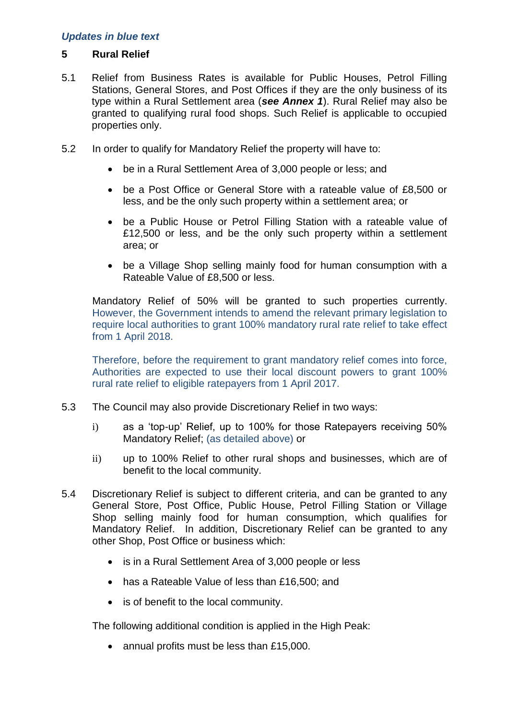#### **5 Rural Relief**

- 5.1 Relief from Business Rates is available for Public Houses, Petrol Filling Stations, General Stores, and Post Offices if they are the only business of its type within a Rural Settlement area (*see Annex 1*). Rural Relief may also be granted to qualifying rural food shops. Such Relief is applicable to occupied properties only.
- 5.2 In order to qualify for Mandatory Relief the property will have to:
	- be in a Rural Settlement Area of 3,000 people or less; and
	- be a Post Office or General Store with a rateable value of £8,500 or less, and be the only such property within a settlement area; or
	- be a Public House or Petrol Filling Station with a rateable value of £12,500 or less, and be the only such property within a settlement area; or
	- be a Village Shop selling mainly food for human consumption with a Rateable Value of £8,500 or less.

Mandatory Relief of 50% will be granted to such properties currently. However, the Government intends to amend the relevant primary legislation to require local authorities to grant 100% mandatory rural rate relief to take effect from 1 April 2018.

Therefore, before the requirement to grant mandatory relief comes into force, Authorities are expected to use their local discount powers to grant 100% rural rate relief to eligible ratepayers from 1 April 2017.

- 5.3 The Council may also provide Discretionary Relief in two ways:
	- i) as a 'top-up' Relief, up to 100% for those Ratepayers receiving 50% Mandatory Relief; (as detailed above) or
	- ii) up to 100% Relief to other rural shops and businesses, which are of benefit to the local community.
- 5.4 Discretionary Relief is subject to different criteria, and can be granted to any General Store, Post Office, Public House, Petrol Filling Station or Village Shop selling mainly food for human consumption, which qualifies for Mandatory Relief. In addition, Discretionary Relief can be granted to any other Shop, Post Office or business which:
	- is in a Rural Settlement Area of 3,000 people or less
	- has a Rateable Value of less than £16,500; and
	- is of benefit to the local community.

The following additional condition is applied in the High Peak:

• annual profits must be less than £15,000.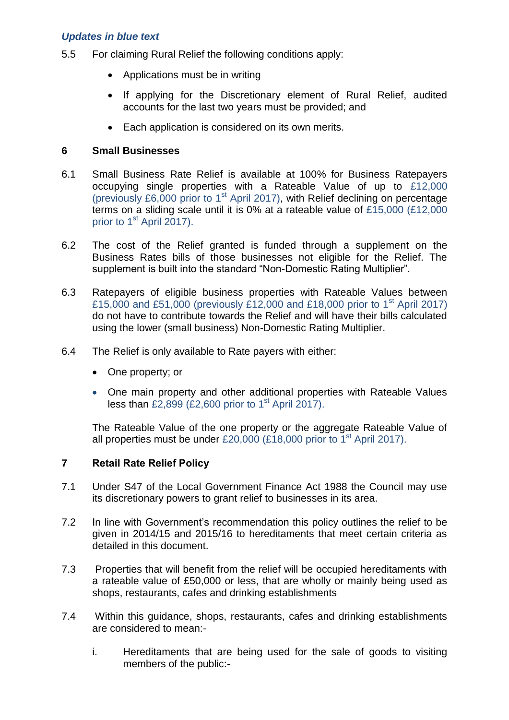- 5.5 For claiming Rural Relief the following conditions apply:
	- Applications must be in writing
	- If applying for the Discretionary element of Rural Relief, audited accounts for the last two years must be provided; and
	- Each application is considered on its own merits.

#### **6 Small Businesses**

- 6.1 Small Business Rate Relief is available at 100% for Business Ratepayers occupying single properties with a Rateable Value of up to £12,000 (previously £6,000 prior to  $1<sup>st</sup>$  April 2017), with Relief declining on percentage terms on a sliding scale until it is 0% at a rateable value of £15,000 (£12,000 prior to 1<sup>st</sup> April 2017).
- 6.2 The cost of the Relief granted is funded through a supplement on the Business Rates bills of those businesses not eligible for the Relief. The supplement is built into the standard "Non-Domestic Rating Multiplier".
- 6.3 Ratepayers of eligible business properties with Rateable Values between £15,000 and £51,000 (previously £12,000 and £18,000 prior to 1<sup>st</sup> April 2017) do not have to contribute towards the Relief and will have their bills calculated using the lower (small business) Non-Domestic Rating Multiplier.
- 6.4 The Relief is only available to Rate payers with either:
	- One property; or
	- One main property and other additional properties with Rateable Values less than  $£2,899$  (£2,600 prior to 1<sup>st</sup> April 2017).

The Rateable Value of the one property or the aggregate Rateable Value of all properties must be under £20,000 (£18,000 prior to 1<sup>st</sup> April 2017).

## **7 Retail Rate Relief Policy**

- 7.1 Under S47 of the Local Government Finance Act 1988 the Council may use its discretionary powers to grant relief to businesses in its area.
- 7.2 In line with Government's recommendation this policy outlines the relief to be given in 2014/15 and 2015/16 to hereditaments that meet certain criteria as detailed in this document.
- 7.3 Properties that will benefit from the relief will be occupied hereditaments with a rateable value of £50,000 or less, that are wholly or mainly being used as shops, restaurants, cafes and drinking establishments
- 7.4 Within this guidance, shops, restaurants, cafes and drinking establishments are considered to mean:
	- i. Hereditaments that are being used for the sale of goods to visiting members of the public:-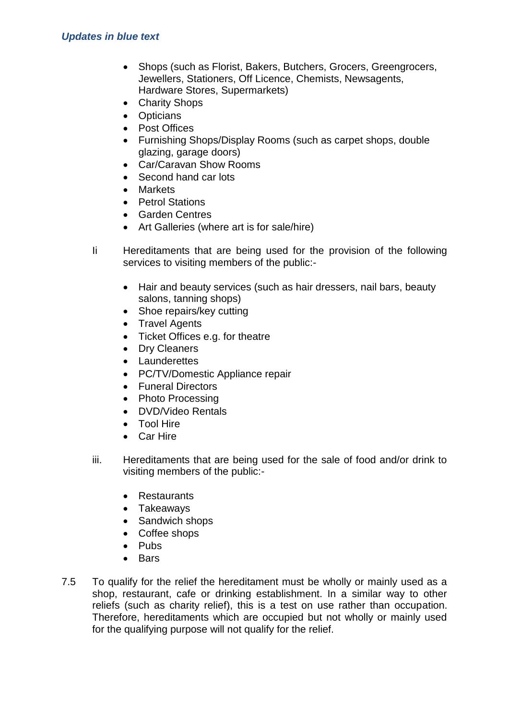- Shops (such as Florist, Bakers, Butchers, Grocers, Greengrocers, Jewellers, Stationers, Off Licence, Chemists, Newsagents, Hardware Stores, Supermarkets)
- Charity Shops
- Opticians
- Post Offices
- Furnishing Shops/Display Rooms (such as carpet shops, double glazing, garage doors)
- Car/Caravan Show Rooms
- Second hand car lots
- Markets
- Petrol Stations
- Garden Centres
- Art Galleries (where art is for sale/hire)
- Ii Hereditaments that are being used for the provision of the following services to visiting members of the public:-
	- Hair and beauty services (such as hair dressers, nail bars, beauty salons, tanning shops)
	- Shoe repairs/key cutting
	- Travel Agents
	- Ticket Offices e.g. for theatre
	- Dry Cleaners
	- Launderettes
	- PC/TV/Domestic Appliance repair
	- Funeral Directors
	- Photo Processing
	- DVD/Video Rentals
	- Tool Hire
	- Car Hire
- iii. Hereditaments that are being used for the sale of food and/or drink to visiting members of the public:-
	- Restaurants
	- Takeaways
	- Sandwich shops
	- Coffee shops
	- $\bullet$  Pubs
	- $B$ ars
- 7.5 To qualify for the relief the hereditament must be wholly or mainly used as a shop, restaurant, cafe or drinking establishment. In a similar way to other reliefs (such as charity relief), this is a test on use rather than occupation. Therefore, hereditaments which are occupied but not wholly or mainly used for the qualifying purpose will not qualify for the relief.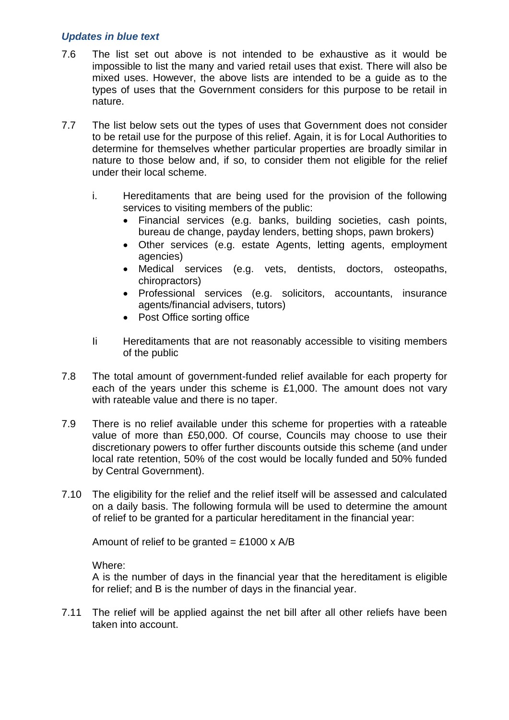- 7.6 The list set out above is not intended to be exhaustive as it would be impossible to list the many and varied retail uses that exist. There will also be mixed uses. However, the above lists are intended to be a guide as to the types of uses that the Government considers for this purpose to be retail in nature.
- 7.7 The list below sets out the types of uses that Government does not consider to be retail use for the purpose of this relief. Again, it is for Local Authorities to determine for themselves whether particular properties are broadly similar in nature to those below and, if so, to consider them not eligible for the relief under their local scheme.
	- i. Hereditaments that are being used for the provision of the following services to visiting members of the public:
		- Financial services (e.g. banks, building societies, cash points, bureau de change, payday lenders, betting shops, pawn brokers)
		- Other services (e.g. estate Agents, letting agents, employment agencies)
		- Medical services (e.g. vets, dentists, doctors, osteopaths, chiropractors)
		- Professional services (e.g. solicitors, accountants, insurance agents/financial advisers, tutors)
		- Post Office sorting office
	- Ii Hereditaments that are not reasonably accessible to visiting members of the public
- 7.8 The total amount of government-funded relief available for each property for each of the years under this scheme is £1,000. The amount does not vary with rateable value and there is no taper.
- 7.9 There is no relief available under this scheme for properties with a rateable value of more than £50,000. Of course, Councils may choose to use their discretionary powers to offer further discounts outside this scheme (and under local rate retention, 50% of the cost would be locally funded and 50% funded by Central Government).
- 7.10 The eligibility for the relief and the relief itself will be assessed and calculated on a daily basis. The following formula will be used to determine the amount of relief to be granted for a particular hereditament in the financial year:

Amount of relief to be granted = £1000  $\times$  A/B

Where:

A is the number of days in the financial year that the hereditament is eligible for relief; and B is the number of days in the financial year.

7.11 The relief will be applied against the net bill after all other reliefs have been taken into account.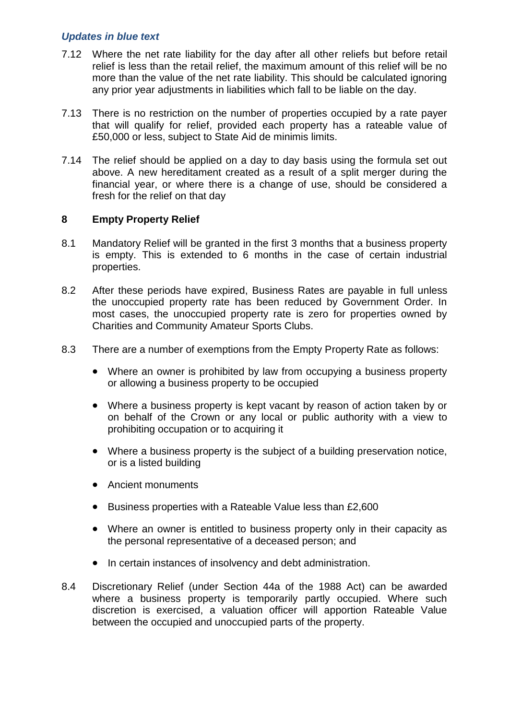- 7.12 Where the net rate liability for the day after all other reliefs but before retail relief is less than the retail relief, the maximum amount of this relief will be no more than the value of the net rate liability. This should be calculated ignoring any prior year adjustments in liabilities which fall to be liable on the day.
- 7.13 There is no restriction on the number of properties occupied by a rate payer that will qualify for relief, provided each property has a rateable value of £50,000 or less, subject to State Aid de minimis limits.
- 7.14 The relief should be applied on a day to day basis using the formula set out above. A new hereditament created as a result of a split merger during the financial year, or where there is a change of use, should be considered a fresh for the relief on that day

#### **8 Empty Property Relief**

- 8.1 Mandatory Relief will be granted in the first 3 months that a business property is empty. This is extended to 6 months in the case of certain industrial properties.
- 8.2 After these periods have expired, Business Rates are payable in full unless the unoccupied property rate has been reduced by Government Order. In most cases, the unoccupied property rate is zero for properties owned by Charities and Community Amateur Sports Clubs.
- 8.3 There are a number of exemptions from the Empty Property Rate as follows:
	- Where an owner is prohibited by law from occupying a business property or allowing a business property to be occupied
	- Where a business property is kept vacant by reason of action taken by or on behalf of the Crown or any local or public authority with a view to prohibiting occupation or to acquiring it
	- Where a business property is the subject of a building preservation notice, or is a listed building
	- Ancient monuments
	- Business properties with a Rateable Value less than £2,600
	- Where an owner is entitled to business property only in their capacity as the personal representative of a deceased person; and
	- In certain instances of insolvency and debt administration.
- 8.4 Discretionary Relief (under Section 44a of the 1988 Act) can be awarded where a business property is temporarily partly occupied. Where such discretion is exercised, a valuation officer will apportion Rateable Value between the occupied and unoccupied parts of the property.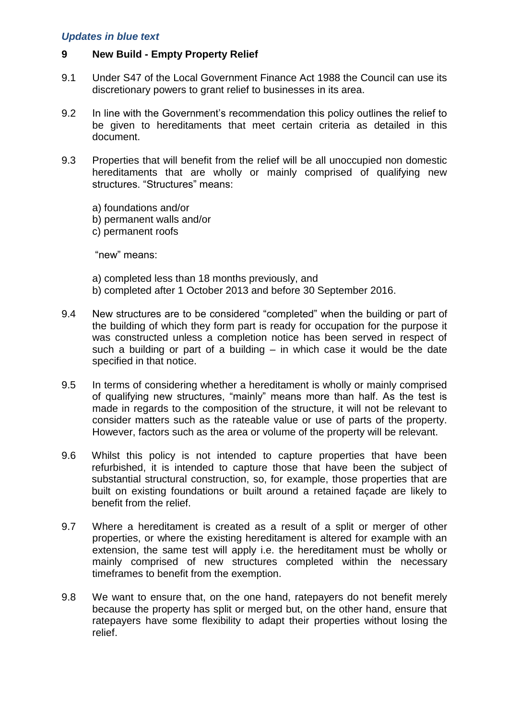#### **9 New Build - Empty Property Relief**

- 9.1 Under S47 of the Local Government Finance Act 1988 the Council can use its discretionary powers to grant relief to businesses in its area.
- 9.2 In line with the Government's recommendation this policy outlines the relief to be given to hereditaments that meet certain criteria as detailed in this document.
- 9.3 Properties that will benefit from the relief will be all unoccupied non domestic hereditaments that are wholly or mainly comprised of qualifying new structures. "Structures" means:

a) foundations and/or b) permanent walls and/or c) permanent roofs

"new" means:

- a) completed less than 18 months previously, and b) completed after 1 October 2013 and before 30 September 2016.
- 9.4 New structures are to be considered "completed" when the building or part of the building of which they form part is ready for occupation for the purpose it was constructed unless a completion notice has been served in respect of such a building or part of a building – in which case it would be the date specified in that notice.
- 9.5 In terms of considering whether a hereditament is wholly or mainly comprised of qualifying new structures, "mainly" means more than half. As the test is made in regards to the composition of the structure, it will not be relevant to consider matters such as the rateable value or use of parts of the property. However, factors such as the area or volume of the property will be relevant.
- 9.6 Whilst this policy is not intended to capture properties that have been refurbished, it is intended to capture those that have been the subject of substantial structural construction, so, for example, those properties that are built on existing foundations or built around a retained façade are likely to benefit from the relief.
- 9.7 Where a hereditament is created as a result of a split or merger of other properties, or where the existing hereditament is altered for example with an extension, the same test will apply i.e. the hereditament must be wholly or mainly comprised of new structures completed within the necessary timeframes to benefit from the exemption.
- 9.8 We want to ensure that, on the one hand, ratepayers do not benefit merely because the property has split or merged but, on the other hand, ensure that ratepayers have some flexibility to adapt their properties without losing the relief.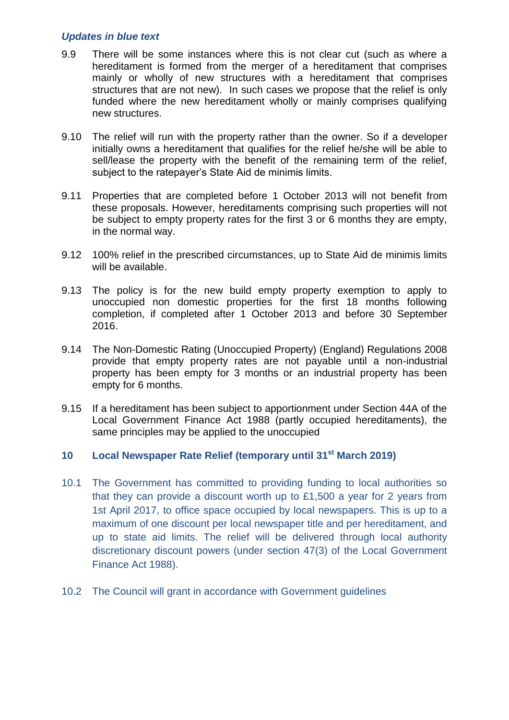- 9.9 There will be some instances where this is not clear cut (such as where a hereditament is formed from the merger of a hereditament that comprises mainly or wholly of new structures with a hereditament that comprises structures that are not new). In such cases we propose that the relief is only funded where the new hereditament wholly or mainly comprises qualifying new structures.
- 9.10 The relief will run with the property rather than the owner. So if a developer initially owns a hereditament that qualifies for the relief he/she will be able to sell/lease the property with the benefit of the remaining term of the relief, subject to the ratepayer's State Aid de minimis limits.
- 9.11 Properties that are completed before 1 October 2013 will not benefit from these proposals. However, hereditaments comprising such properties will not be subject to empty property rates for the first 3 or 6 months they are empty, in the normal way.
- 9.12 100% relief in the prescribed circumstances, up to State Aid de minimis limits will be available.
- 9.13 The policy is for the new build empty property exemption to apply to unoccupied non domestic properties for the first 18 months following completion, if completed after 1 October 2013 and before 30 September 2016.
- 9.14 The Non-Domestic Rating (Unoccupied Property) (England) Regulations 2008 provide that empty property rates are not payable until a non-industrial property has been empty for 3 months or an industrial property has been empty for 6 months.
- 9.15 If a hereditament has been subject to apportionment under Section 44A of the Local Government Finance Act 1988 (partly occupied hereditaments), the same principles may be applied to the unoccupied

#### **10 Local Newspaper Rate Relief (temporary until 31st March 2019)**

- 10.1 The Government has committed to providing funding to local authorities so that they can provide a discount worth up to £1,500 a year for 2 years from 1st April 2017, to office space occupied by local newspapers. This is up to a maximum of one discount per local newspaper title and per hereditament, and up to state aid limits. The relief will be delivered through local authority discretionary discount powers (under section 47(3) of the Local Government Finance Act 1988).
- 10.2 The Council will grant in accordance with Government guidelines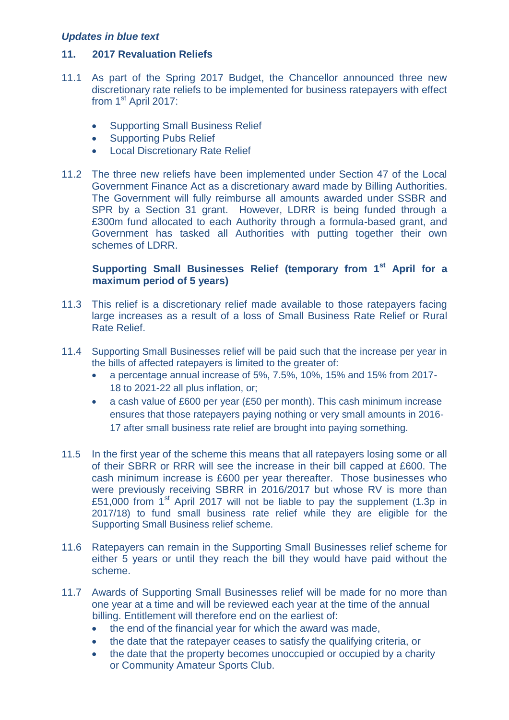#### **11. 2017 Revaluation Reliefs**

- 11.1 As part of the Spring 2017 Budget, the Chancellor announced three new discretionary rate reliefs to be implemented for business ratepayers with effect from  $1<sup>st</sup>$  April 2017:
	- Supporting Small Business Relief
	- Supporting Pubs Relief
	- Local Discretionary Rate Relief
- 11.2 The three new reliefs have been implemented under Section 47 of the Local Government Finance Act as a discretionary award made by Billing Authorities. The Government will fully reimburse all amounts awarded under SSBR and SPR by a Section 31 grant. However, LDRR is being funded through a £300m fund allocated to each Authority through a formula-based grant, and Government has tasked all Authorities with putting together their own schemes of LDRR.

#### **Supporting Small Businesses Relief (temporary from 1st April for a maximum period of 5 years)**

- 11.3 This relief is a discretionary relief made available to those ratepayers facing large increases as a result of a loss of Small Business Rate Relief or Rural Rate Relief.
- 11.4 Supporting Small Businesses relief will be paid such that the increase per year in the bills of affected ratepayers is limited to the greater of:
	- a percentage annual increase of 5%, 7.5%, 10%, 15% and 15% from 2017- 18 to 2021-22 all plus inflation, or;
	- a cash value of £600 per year (£50 per month). This cash minimum increase ensures that those ratepayers paying nothing or very small amounts in 2016- 17 after small business rate relief are brought into paying something.
- 11.5 In the first year of the scheme this means that all ratepayers losing some or all of their SBRR or RRR will see the increase in their bill capped at £600. The cash minimum increase is £600 per year thereafter. Those businesses who were previously receiving SBRR in 2016/2017 but whose RV is more than £51,000 from  $1<sup>st</sup>$  April 2017 will not be liable to pay the supplement (1.3p in 2017/18) to fund small business rate relief while they are eligible for the Supporting Small Business relief scheme.
- 11.6 Ratepayers can remain in the Supporting Small Businesses relief scheme for either 5 years or until they reach the bill they would have paid without the scheme.
- 11.7 Awards of Supporting Small Businesses relief will be made for no more than one year at a time and will be reviewed each year at the time of the annual billing. Entitlement will therefore end on the earliest of:
	- the end of the financial year for which the award was made,
	- the date that the ratepayer ceases to satisfy the qualifying criteria, or
	- the date that the property becomes unoccupied or occupied by a charity or Community Amateur Sports Club.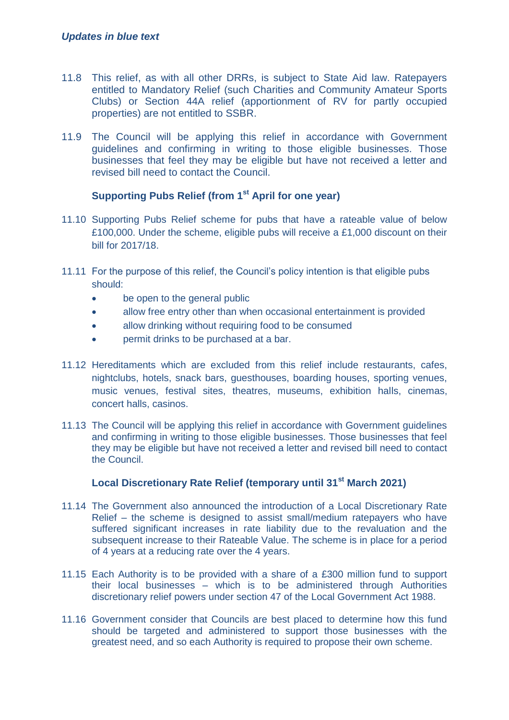- 11.8 This relief, as with all other DRRs, is subject to State Aid law. Ratepayers entitled to Mandatory Relief (such Charities and Community Amateur Sports Clubs) or Section 44A relief (apportionment of RV for partly occupied properties) are not entitled to SSBR.
- 11.9 The Council will be applying this relief in accordance with Government guidelines and confirming in writing to those eligible businesses. Those businesses that feel they may be eligible but have not received a letter and revised bill need to contact the Council.

#### **Supporting Pubs Relief (from 1st April for one year)**

- 11.10 Supporting Pubs Relief scheme for pubs that have a rateable value of below £100,000. Under the scheme, eligible pubs will receive a £1,000 discount on their bill for 2017/18.
- 11.11 For the purpose of this relief, the Council's policy intention is that eligible pubs should:
	- be open to the general public
	- allow free entry other than when occasional entertainment is provided
	- allow drinking without requiring food to be consumed
	- permit drinks to be purchased at a bar.
- 11.12 Hereditaments which are excluded from this relief include restaurants, cafes, nightclubs, hotels, snack bars, guesthouses, boarding houses, sporting venues, music venues, festival sites, theatres, museums, exhibition halls, cinemas, concert halls, casinos.
- 11.13 The Council will be applying this relief in accordance with Government guidelines and confirming in writing to those eligible businesses. Those businesses that feel they may be eligible but have not received a letter and revised bill need to contact the Council.

# **Local Discretionary Rate Relief (temporary until 31st March 2021)**

- 11.14 The Government also announced the introduction of a Local Discretionary Rate Relief – the scheme is designed to assist small/medium ratepayers who have suffered significant increases in rate liability due to the revaluation and the subsequent increase to their Rateable Value. The scheme is in place for a period of 4 years at a reducing rate over the 4 years.
- 11.15 Each Authority is to be provided with a share of a £300 million fund to support their local businesses – which is to be administered through Authorities discretionary relief powers under section 47 of the Local Government Act 1988.
- 11.16 Government consider that Councils are best placed to determine how this fund should be targeted and administered to support those businesses with the greatest need, and so each Authority is required to propose their own scheme.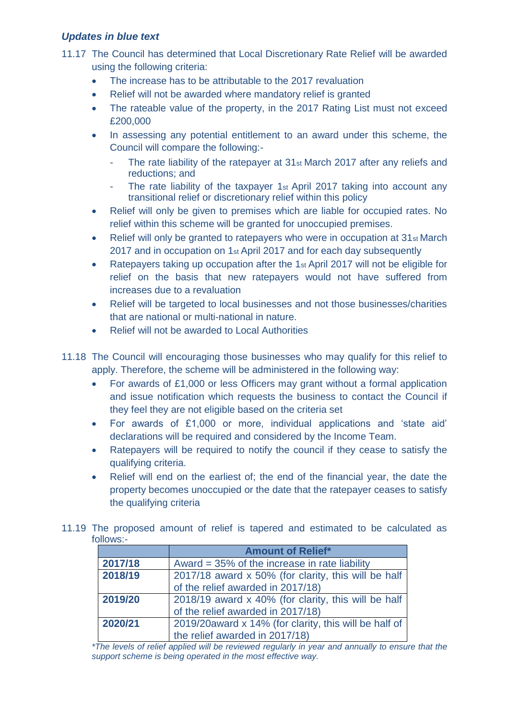- 11.17 The Council has determined that Local Discretionary Rate Relief will be awarded using the following criteria:
	- The increase has to be attributable to the 2017 revaluation
	- Relief will not be awarded where mandatory relief is granted
	- The rateable value of the property, in the 2017 Rating List must not exceed £200,000
	- In assessing any potential entitlement to an award under this scheme, the Council will compare the following:-
		- The rate liability of the ratepayer at 31st March 2017 after any reliefs and reductions; and
		- The rate liability of the taxpayer 1st April 2017 taking into account any transitional relief or discretionary relief within this policy
	- Relief will only be given to premises which are liable for occupied rates. No relief within this scheme will be granted for unoccupied premises.
	- Relief will only be granted to ratepayers who were in occupation at 31st March 2017 and in occupation on 1st April 2017 and for each day subsequently
	- Ratepayers taking up occupation after the 1 $st$  April 2017 will not be eligible for relief on the basis that new ratepayers would not have suffered from increases due to a revaluation
	- Relief will be targeted to local businesses and not those businesses/charities that are national or multi-national in nature.
	- Relief will not be awarded to Local Authorities
- 11.18 The Council will encouraging those businesses who may qualify for this relief to apply. Therefore, the scheme will be administered in the following way:
	- For awards of £1,000 or less Officers may grant without a formal application and issue notification which requests the business to contact the Council if they feel they are not eligible based on the criteria set
	- For awards of £1,000 or more, individual applications and 'state aid' declarations will be required and considered by the Income Team.
	- Ratepayers will be required to notify the council if they cease to satisfy the qualifying criteria.
	- Relief will end on the earliest of; the end of the financial year, the date the property becomes unoccupied or the date that the ratepayer ceases to satisfy the qualifying criteria
- 11.19 The proposed amount of relief is tapered and estimated to be calculated as follows:-

|         | <b>Amount of Relief*</b>                              |
|---------|-------------------------------------------------------|
| 2017/18 | Award = $35\%$ of the increase in rate liability      |
| 2018/19 | 2017/18 award x 50% (for clarity, this will be half   |
|         | of the relief awarded in 2017/18)                     |
| 2019/20 | 2018/19 award x 40% (for clarity, this will be half   |
|         | of the relief awarded in 2017/18)                     |
| 2020/21 | 2019/20award x 14% (for clarity, this will be half of |
|         | the relief awarded in 2017/18)                        |

*\*The levels of relief applied will be reviewed regularly in year and annually to ensure that the support scheme is being operated in the most effective way.*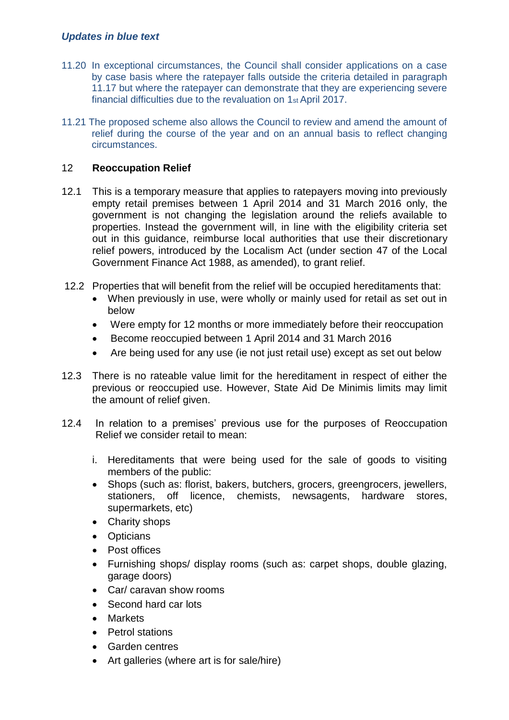- 11.20 In exceptional circumstances, the Council shall consider applications on a case by case basis where the ratepayer falls outside the criteria detailed in paragraph 11.17 but where the ratepayer can demonstrate that they are experiencing severe financial difficulties due to the revaluation on 1st April 2017.
- 11.21 The proposed scheme also allows the Council to review and amend the amount of relief during the course of the year and on an annual basis to reflect changing circumstances.

### 12 **Reoccupation Relief**

- 12.1 This is a temporary measure that applies to ratepayers moving into previously empty retail premises between 1 April 2014 and 31 March 2016 only, the government is not changing the legislation around the reliefs available to properties. Instead the government will, in line with the eligibility criteria set out in this guidance, reimburse local authorities that use their discretionary relief powers, introduced by the Localism Act (under section 47 of the Local Government Finance Act 1988, as amended), to grant relief.
- 12.2 Properties that will benefit from the relief will be occupied hereditaments that:
	- When previously in use, were wholly or mainly used for retail as set out in below
	- Were empty for 12 months or more immediately before their reoccupation
	- Become reoccupied between 1 April 2014 and 31 March 2016
	- Are being used for any use (ie not just retail use) except as set out below
- 12.3 There is no rateable value limit for the hereditament in respect of either the previous or reoccupied use. However, State Aid De Minimis limits may limit the amount of relief given.
- 12.4 In relation to a premises' previous use for the purposes of Reoccupation Relief we consider retail to mean:
	- i. Hereditaments that were being used for the sale of goods to visiting members of the public:
	- Shops (such as: florist, bakers, butchers, grocers, greengrocers, jewellers, stationers, off licence, chemists, newsagents, hardware stores, supermarkets, etc)
	- Charity shops
	- Opticians
	- Post offices
	- Furnishing shops/ display rooms (such as: carpet shops, double glazing, garage doors)
	- Car/ caravan show rooms
	- Second hard car lots
	- Markets
	- Petrol stations
	- Garden centres
	- Art galleries (where art is for sale/hire)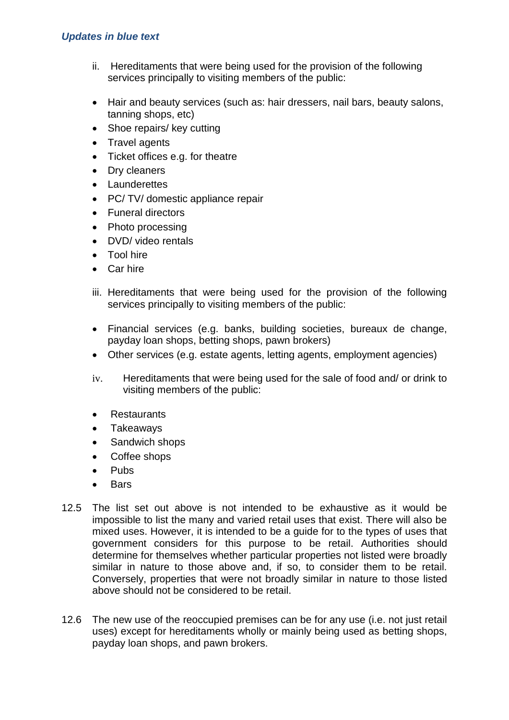- ii. Hereditaments that were being used for the provision of the following services principally to visiting members of the public:
- Hair and beauty services (such as: hair dressers, nail bars, beauty salons, tanning shops, etc)
- Shoe repairs/ key cutting
- Travel agents
- Ticket offices e.g. for theatre
- Dry cleaners
- Launderettes
- PC/ TV/ domestic appliance repair
- Funeral directors
- Photo processing
- DVD/ video rentals
- Tool hire
- Car hire
- iii. Hereditaments that were being used for the provision of the following services principally to visiting members of the public:
- Financial services (e.g. banks, building societies, bureaux de change, payday loan shops, betting shops, pawn brokers)
- Other services (e.g. estate agents, letting agents, employment agencies)
- iv. Hereditaments that were being used for the sale of food and/ or drink to visiting members of the public:
- **Restaurants**
- Takeaways
- Sandwich shops
- Coffee shops
- Pubs
- **Bars**
- 12.5 The list set out above is not intended to be exhaustive as it would be impossible to list the many and varied retail uses that exist. There will also be mixed uses. However, it is intended to be a guide for to the types of uses that government considers for this purpose to be retail. Authorities should determine for themselves whether particular properties not listed were broadly similar in nature to those above and, if so, to consider them to be retail. Conversely, properties that were not broadly similar in nature to those listed above should not be considered to be retail.
- 12.6 The new use of the reoccupied premises can be for any use (i.e. not just retail uses) except for hereditaments wholly or mainly being used as betting shops, payday loan shops, and pawn brokers.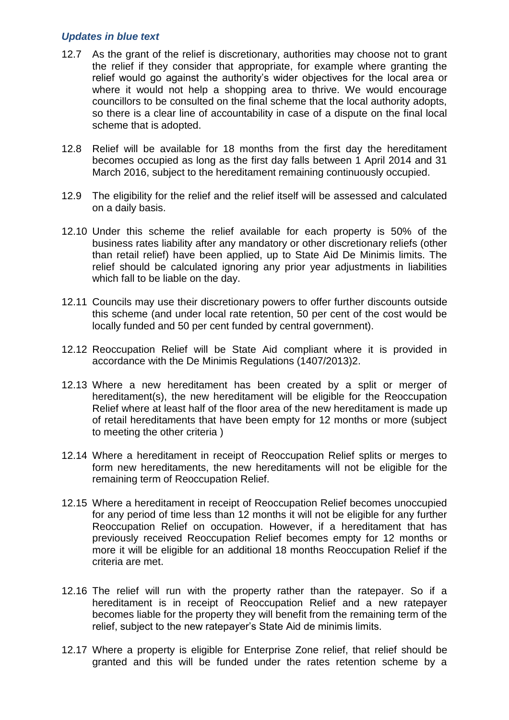- 12.7 As the grant of the relief is discretionary, authorities may choose not to grant the relief if they consider that appropriate, for example where granting the relief would go against the authority's wider objectives for the local area or where it would not help a shopping area to thrive. We would encourage councillors to be consulted on the final scheme that the local authority adopts, so there is a clear line of accountability in case of a dispute on the final local scheme that is adopted.
- 12.8 Relief will be available for 18 months from the first day the hereditament becomes occupied as long as the first day falls between 1 April 2014 and 31 March 2016, subject to the hereditament remaining continuously occupied.
- 12.9 The eligibility for the relief and the relief itself will be assessed and calculated on a daily basis.
- 12.10 Under this scheme the relief available for each property is 50% of the business rates liability after any mandatory or other discretionary reliefs (other than retail relief) have been applied, up to State Aid De Minimis limits. The relief should be calculated ignoring any prior year adjustments in liabilities which fall to be liable on the day.
- 12.11 Councils may use their discretionary powers to offer further discounts outside this scheme (and under local rate retention, 50 per cent of the cost would be locally funded and 50 per cent funded by central government).
- 12.12 Reoccupation Relief will be State Aid compliant where it is provided in accordance with the De Minimis Regulations (1407/2013)2.
- 12.13 Where a new hereditament has been created by a split or merger of hereditament(s), the new hereditament will be eligible for the Reoccupation Relief where at least half of the floor area of the new hereditament is made up of retail hereditaments that have been empty for 12 months or more (subject to meeting the other criteria )
- 12.14 Where a hereditament in receipt of Reoccupation Relief splits or merges to form new hereditaments, the new hereditaments will not be eligible for the remaining term of Reoccupation Relief.
- 12.15 Where a hereditament in receipt of Reoccupation Relief becomes unoccupied for any period of time less than 12 months it will not be eligible for any further Reoccupation Relief on occupation. However, if a hereditament that has previously received Reoccupation Relief becomes empty for 12 months or more it will be eligible for an additional 18 months Reoccupation Relief if the criteria are met.
- 12.16 The relief will run with the property rather than the ratepayer. So if a hereditament is in receipt of Reoccupation Relief and a new ratepayer becomes liable for the property they will benefit from the remaining term of the relief, subject to the new ratepayer's State Aid de minimis limits.
- 12.17 Where a property is eligible for Enterprise Zone relief, that relief should be granted and this will be funded under the rates retention scheme by a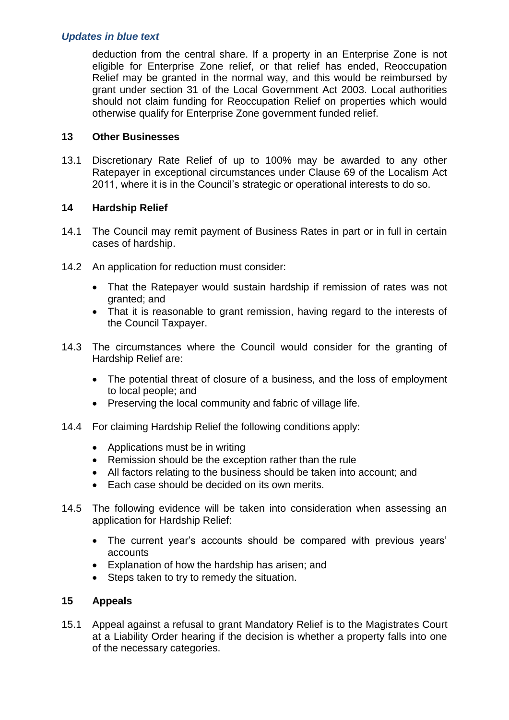deduction from the central share. If a property in an Enterprise Zone is not eligible for Enterprise Zone relief, or that relief has ended, Reoccupation Relief may be granted in the normal way, and this would be reimbursed by grant under section 31 of the Local Government Act 2003. Local authorities should not claim funding for Reoccupation Relief on properties which would otherwise qualify for Enterprise Zone government funded relief.

#### **13 Other Businesses**

13.1 Discretionary Rate Relief of up to 100% may be awarded to any other Ratepayer in exceptional circumstances under Clause 69 of the Localism Act 2011, where it is in the Council's strategic or operational interests to do so.

#### **14 Hardship Relief**

- 14.1 The Council may remit payment of Business Rates in part or in full in certain cases of hardship.
- 14.2 An application for reduction must consider:
	- That the Ratepayer would sustain hardship if remission of rates was not granted; and
	- That it is reasonable to grant remission, having regard to the interests of the Council Taxpayer.
- 14.3 The circumstances where the Council would consider for the granting of Hardship Relief are:
	- The potential threat of closure of a business, and the loss of employment to local people; and
	- Preserving the local community and fabric of village life.
- 14.4 For claiming Hardship Relief the following conditions apply:
	- Applications must be in writing
	- Remission should be the exception rather than the rule
	- All factors relating to the business should be taken into account; and
	- Each case should be decided on its own merits.
- 14.5 The following evidence will be taken into consideration when assessing an application for Hardship Relief:
	- The current year's accounts should be compared with previous years' accounts
	- Explanation of how the hardship has arisen; and
	- Steps taken to try to remedy the situation.

#### **15 Appeals**

15.1 Appeal against a refusal to grant Mandatory Relief is to the Magistrates Court at a Liability Order hearing if the decision is whether a property falls into one of the necessary categories.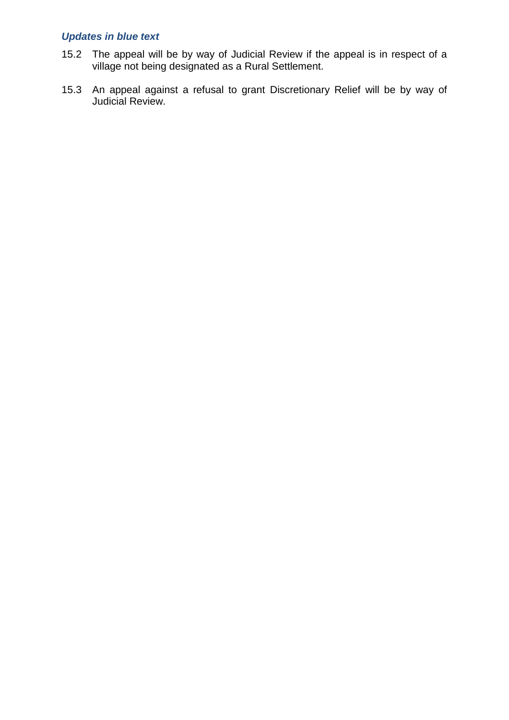- 15.2 The appeal will be by way of Judicial Review if the appeal is in respect of a village not being designated as a Rural Settlement.
- 15.3 An appeal against a refusal to grant Discretionary Relief will be by way of Judicial Review.